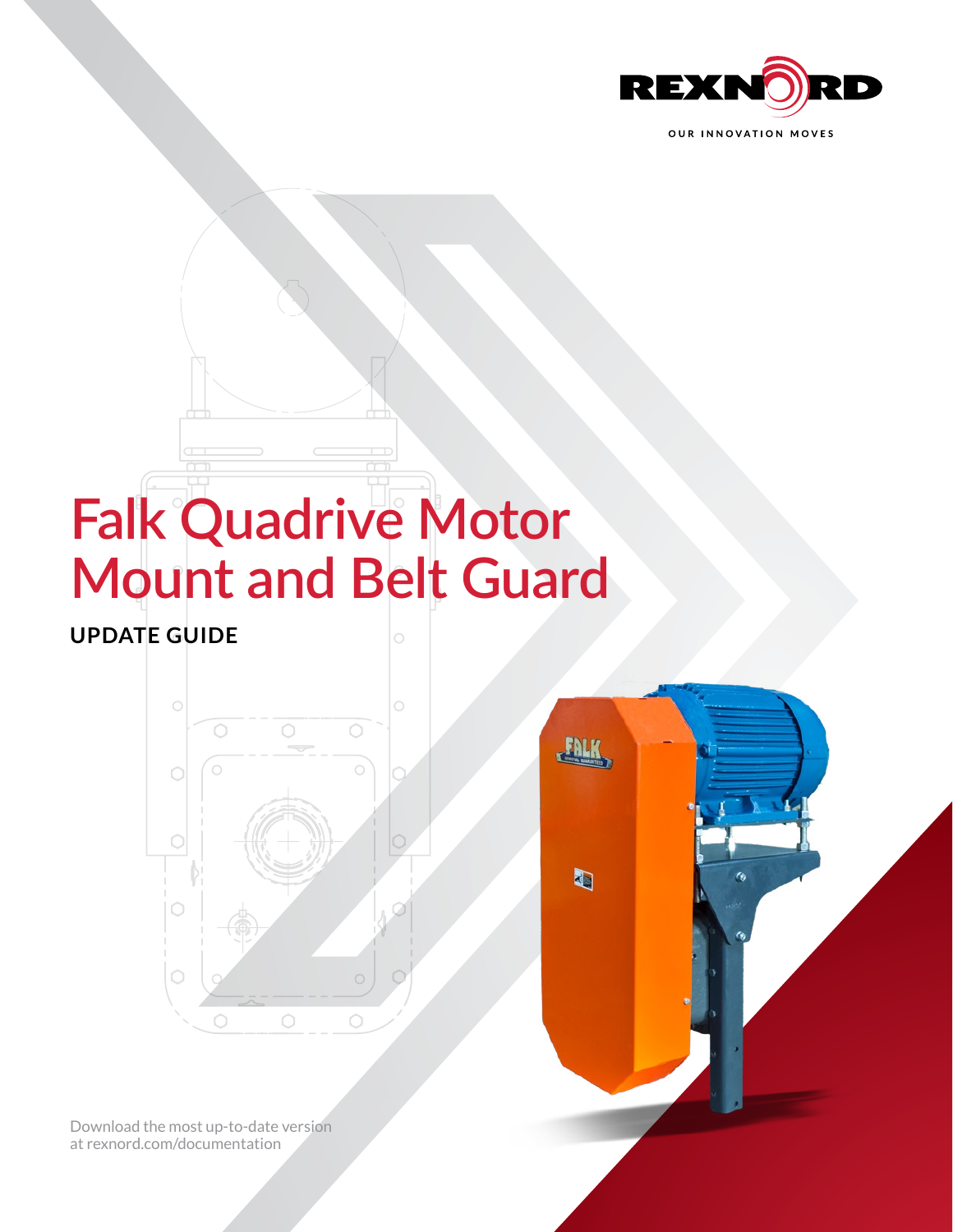

# **Falk Quadrive Motor Mount and Belt Guard**

**UPDATE GUIDE**





[Download the most up-to-date version](http://www.rexnord.com/documentation)  [at rexnord.com/documentation](http://www.rexnord.com/documentation)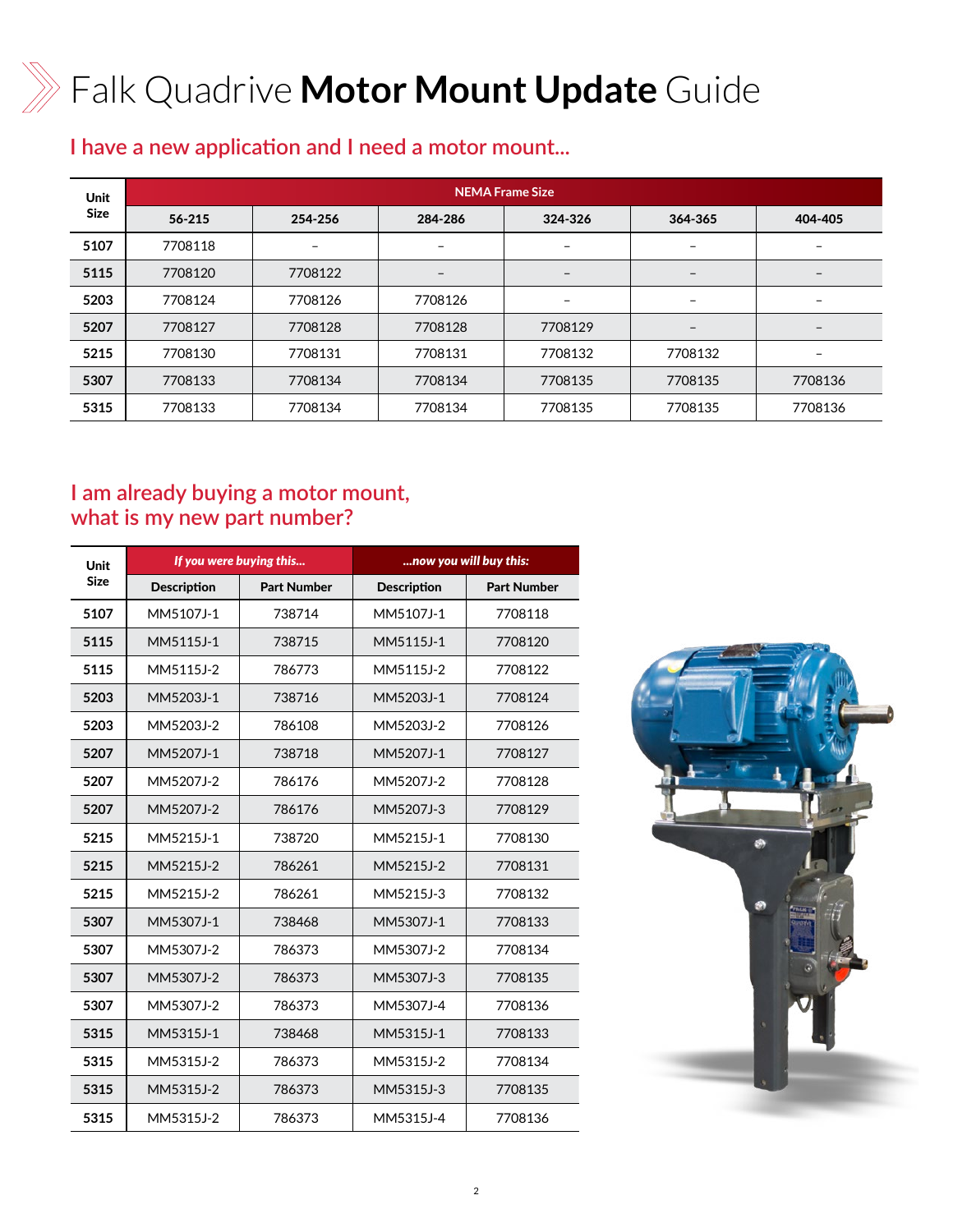# Falk Quadrive **Motor Mount Update** Guide

## **I have a new application and I need a motor mount...**

| <b>Unit</b> | <b>NEMA Frame Size</b> |         |         |         |         |         |
|-------------|------------------------|---------|---------|---------|---------|---------|
| <b>Size</b> | 56-215                 | 254-256 | 284-286 | 324-326 | 364-365 | 404-405 |
| 5107        | 7708118                |         |         |         |         |         |
| 5115        | 7708120                | 7708122 |         |         |         |         |
| 5203        | 7708124                | 7708126 | 7708126 |         |         |         |
| 5207        | 7708127                | 7708128 | 7708128 | 7708129 |         |         |
| 5215        | 7708130                | 7708131 | 7708131 | 7708132 | 7708132 |         |
| 5307        | 7708133                | 7708134 | 7708134 | 7708135 | 7708135 | 7708136 |
| 5315        | 7708133                | 7708134 | 7708134 | 7708135 | 7708135 | 7708136 |

### **I am already buying a motor mount, what is my new part number?**

| Unit        | If you were buying this |                    | now you will buy this: |                    |  |
|-------------|-------------------------|--------------------|------------------------|--------------------|--|
| <b>Size</b> | <b>Description</b>      | <b>Part Number</b> | <b>Description</b>     | <b>Part Number</b> |  |
| 5107        | MM5107J-1               | 738714             | MM5107J-1              | 7708118            |  |
| 5115        | MM5115J-1               | 738715             | MM5115J-1              | 7708120            |  |
| 5115        | MM5115J-2               | 786773             | MM5115J-2              | 7708122            |  |
| 5203        | MM5203J-1               | 738716             | MM5203J-1              | 7708124            |  |
| 5203        | MM5203J-2               | 786108             | MM5203J-2              | 7708126            |  |
| 5207        | MM5207J-1               | 738718             | MM5207J-1              | 7708127            |  |
| 5207        | MM5207J-2               | 786176             | MM5207J-2              | 7708128            |  |
| 5207        | MM5207J-2               | 786176             | MM5207J-3              | 7708129            |  |
| 5215        | MM5215J-1               | 738720             | MM5215J-1              | 7708130            |  |
| 5215        | MM5215J-2               | 786261             | MM5215J-2              | 7708131            |  |
| 5215        | MM5215J-2               | 786261             | MM5215J-3              | 7708132            |  |
| 5307        | MM5307J-1               | 738468             | MM5307J-1              | 7708133            |  |
| 5307        | MM5307J-2               | 786373             | MM5307J-2              | 7708134            |  |
| 5307        | MM5307J-2               | 786373             | MM5307J-3              | 7708135            |  |
| 5307        | MM5307J-2               | 786373             | MM5307J-4              | 7708136            |  |
| 5315        | MM5315J-1               | 738468             | MM5315J-1              | 7708133            |  |
| 5315        | MM5315J-2               | 786373             | MM5315J-2              | 7708134            |  |
| 5315        | MM5315J-2               | 786373             | MM5315J-3              | 7708135            |  |
| 5315        | MM5315J-2               | 786373             | MM5315J-4              | 7708136            |  |

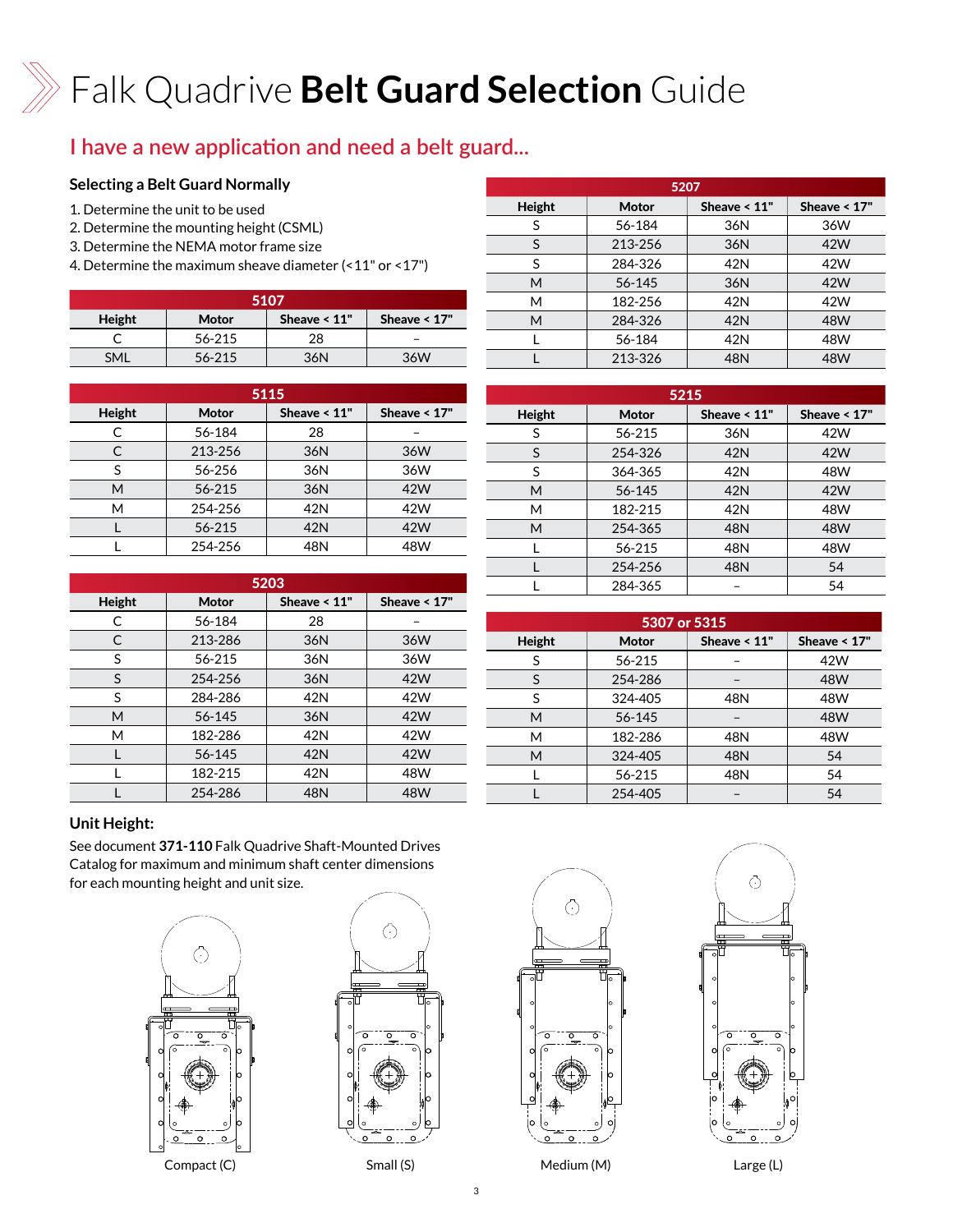# Falk Quadrive **Belt Guard Selection** Guide

### **I have a new application and need a belt guard...**

#### **Selecting a Belt Guard Normally**

- 1. Determine the unit to be used
- 2. Determine the mounting height (CSML)
- 3. Determine the NEMA motor frame size
- 4. Determine the maximum sheave diameter (<11" or <17")

| 5107       |        |                 |                |  |  |  |
|------------|--------|-----------------|----------------|--|--|--|
| Height     | Motor  | Sheave $< 11$ " | Sheave $< 17"$ |  |  |  |
|            | 56-215 | 28              |                |  |  |  |
| <b>SMI</b> | 56-215 | 36N             | 36W            |  |  |  |

| 5115   |         |                 |                |  |  |
|--------|---------|-----------------|----------------|--|--|
| Height | Motor   | Sheave $< 11$ " | Sheave $< 17"$ |  |  |
|        | 56-184  | 28              |                |  |  |
| C      | 213-256 | 36N             | 36W            |  |  |
| S      | 56-256  | 36N             | 36W            |  |  |
| M      | 56-215  | 36N             | 42W            |  |  |
| M      | 254-256 | 42N             | 42W            |  |  |
|        | 56-215  | 42N             | 42W            |  |  |
|        | 254-256 | 48N             | 48W            |  |  |

| 5203   |         |                 |                |  |  |
|--------|---------|-----------------|----------------|--|--|
| Height | Motor   | Sheave $< 11$ " | Sheave $< 17"$ |  |  |
| C      | 56-184  | 28              |                |  |  |
| C      | 213-286 | 36N             | 36W            |  |  |
| S      | 56-215  | 36N             | 36W            |  |  |
| S      | 254-256 | 36N             | 42W            |  |  |
| S      | 284-286 | 42N             | 42W            |  |  |
| M      | 56-145  | 36N             | 42W            |  |  |
| M      | 182-286 | 42N             | 42W            |  |  |
|        | 56-145  | 42N             | 42W            |  |  |
|        | 182-215 | 42N             | 48W            |  |  |
|        | 254-286 | 48N             | 48W            |  |  |

|        | 5207    |                 |                |  |  |
|--------|---------|-----------------|----------------|--|--|
| Height | Motor   | Sheave $< 11$ " | Sheave $< 17"$ |  |  |
| S      | 56-184  | 36N             | 36W            |  |  |
| S      | 213-256 | 36N             | 42W            |  |  |
| S      | 284-326 | 42N             | 42W            |  |  |
| М      | 56-145  | 36N             | 42W            |  |  |
| М      | 182-256 | 42N             | 42W            |  |  |
| M      | 284-326 | 42N             | 48W            |  |  |
|        | 56-184  | 42N             | 48W            |  |  |
|        | 213-326 | 48N             | 48W            |  |  |

| 5215   |         |                 |                |  |  |
|--------|---------|-----------------|----------------|--|--|
| Height | Motor   | Sheave $< 11$ " | Sheave $< 17"$ |  |  |
| S      | 56-215  | 36N             | 42W            |  |  |
| S      | 254-326 | 42N             | 42W            |  |  |
| S      | 364-365 | 42N             | 48W            |  |  |
| M      | 56-145  | 42N             | 42W            |  |  |
| М      | 182-215 | 42N             | 48W            |  |  |
| M      | 254-365 | 48N             | 48W            |  |  |
|        | 56-215  | 48N             | 48W            |  |  |
|        | 254-256 | 48N             | 54             |  |  |
|        | 284-365 |                 | 54             |  |  |

| 5307 or 5315 |              |                 |                |  |  |
|--------------|--------------|-----------------|----------------|--|--|
| Height       | <b>Motor</b> | Sheave $< 11$ " | Sheave $< 17"$ |  |  |
| S            | 56-215       |                 | 42W            |  |  |
| S            | 254-286      |                 | 48W            |  |  |
| S            | 324-405      | 48N             | 48W            |  |  |
| М            | 56-145       |                 | 48W            |  |  |
| М            | 182-286      | 48N             | 48W            |  |  |
| M            | 324-405      | 48N             | 54             |  |  |
|              | 56-215       | 48N             | 54             |  |  |
|              | 254-405      |                 | 54             |  |  |

#### **Unit Height:**

See document **371-110** [Falk Quadrive Shaft-Mounted Drives](https://www.rexnord.com/contentitems/techlibrary/documents/371-110_catalog)  [Catalog](https://www.rexnord.com/contentitems/techlibrary/documents/371-110_catalog) for maximum and minimum shaft center dimensions for each mounting height and unit size.